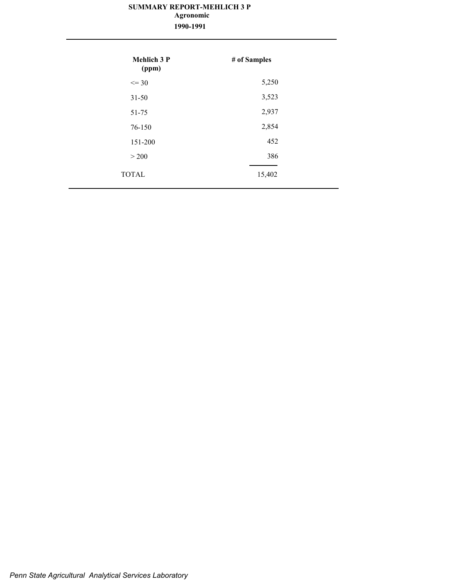# **SUMMARY REPORT-MEHLICH 3 P 1990-1991 Agronomic**

| <b>Mehlich 3 P</b><br>(ppm) | # of Samples |
|-----------------------------|--------------|
| $\leq$ 30                   | 5,250        |
| $31 - 50$                   | 3,523        |
| 51-75                       | 2,937        |
| 76-150                      | 2,854        |
| 151-200                     | 452          |
| > 200                       | 386          |
| <b>TOTAL</b>                | 15,402       |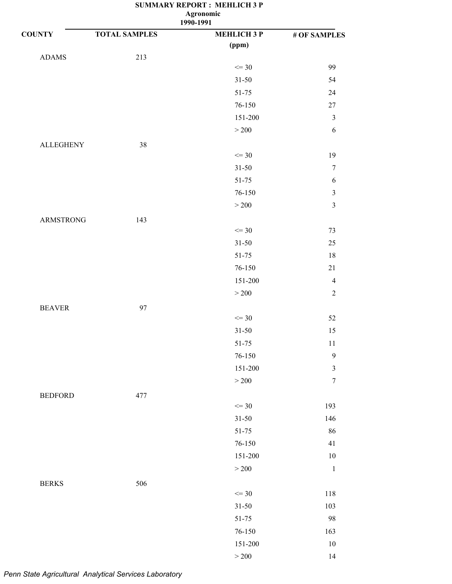| <b>COUNTY</b>    | <b>TOTAL SAMPLES</b> | <b>MEHLICH 3 P</b> | $\#$ OF SAMPLES         |
|------------------|----------------------|--------------------|-------------------------|
|                  |                      | (ppm)              |                         |
| <b>ADAMS</b>     | 213                  |                    |                         |
|                  |                      | $\leq$ 30          | 99                      |
|                  |                      | $31 - 50$          | 54                      |
|                  |                      | $51 - 75$          | 24                      |
|                  |                      | $76 - 150$         | 27                      |
|                  |                      | 151-200            | $\mathfrak{Z}$          |
|                  |                      | $>200$             | $\boldsymbol{6}$        |
| <b>ALLEGHENY</b> | $38\,$               |                    |                         |
|                  |                      | $\leq$ 30          | 19                      |
|                  |                      | $31 - 50$          | $\boldsymbol{7}$        |
|                  |                      | $51 - 75$          | $\boldsymbol{6}$        |
|                  |                      | 76-150             | $\sqrt{3}$              |
|                  |                      | $>200$             | $\overline{\mathbf{3}}$ |
| <b>ARMSTRONG</b> | 143                  |                    |                         |
|                  |                      | $\leq$ 30          | 73                      |
|                  |                      | $31 - 50$          | 25                      |
|                  |                      | $51 - 75$          | 18                      |
|                  |                      | 76-150             | $21\,$                  |
|                  |                      | 151-200            | $\overline{4}$          |
|                  |                      | $>200$             | $\sqrt{2}$              |
|                  |                      |                    |                         |
| <b>BEAVER</b>    | 97                   | $\leq$ 30          | 52                      |
|                  |                      | $31 - 50$          | 15                      |
|                  |                      | $51 - 75$          | 11                      |
|                  |                      | 76-150             | 9                       |
|                  |                      | 151-200            | $\mathfrak{Z}$          |
|                  |                      | $>200$             | $\boldsymbol{7}$        |
|                  |                      |                    |                         |
| <b>BEDFORD</b>   | 477                  | $\leq$ 30          | 193                     |
|                  |                      |                    | 146                     |
|                  |                      | $31 - 50$<br>51-75 | 86                      |
|                  |                      |                    | 41                      |
|                  |                      | 76-150<br>151-200  |                         |
|                  |                      |                    | $10\,$                  |
|                  |                      | $>200$             | $\,1\,$                 |
| <b>BERKS</b>     | 506                  |                    |                         |
|                  |                      | $\leq$ 30          | 118                     |
|                  |                      | $31 - 50$          | 103                     |
|                  |                      | $51 - 75$          | 98                      |
|                  |                      | $76 - 150$         | 163                     |
|                  |                      | $151 - 200$        | $10\,$                  |
|                  |                      | $>200\,$           | 14                      |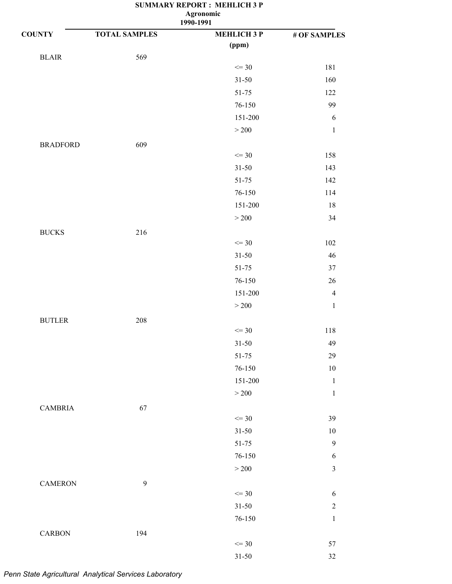|                 |                      | 1990-1991          |                |
|-----------------|----------------------|--------------------|----------------|
| <b>COUNTY</b>   | <b>TOTAL SAMPLES</b> | <b>MEHLICH 3 P</b> | # OF SAMPLES   |
|                 |                      | (ppm)              |                |
| $BLAIR$         | 569                  |                    |                |
|                 |                      | $\leq$ 30          | 181            |
|                 |                      | $31 - 50$          | 160            |
|                 |                      | 51-75              | 122            |
|                 |                      | 76-150             | 99             |
|                 |                      | 151-200            | 6              |
|                 |                      | $>200$             | $\mathbf 1$    |
| <b>BRADFORD</b> | 609                  |                    |                |
|                 |                      | $\leq$ 30          | 158            |
|                 |                      | $31 - 50$          | 143            |
|                 |                      | 51-75              | 142            |
|                 |                      | 76-150             | 114            |
|                 |                      | 151-200            | $18\,$         |
|                 |                      | $>200$             | 34             |
| <b>BUCKS</b>    | 216                  |                    |                |
|                 |                      | $\leq$ 30          | 102            |
|                 |                      | $31 - 50$          | $46\,$         |
|                 |                      | 51-75              | 37             |
|                 |                      | 76-150             | $26\,$         |
|                 |                      | 151-200            | $\overline{4}$ |
|                 |                      | $>200$             | $\,1\,$        |
| <b>BUTLER</b>   | 208                  |                    |                |
|                 |                      | $\leq$ 30          | 118            |
|                 |                      | $31 - 50$          | 49             |
|                 |                      | $51 - 75$          | 29             |
|                 |                      | $76 - 150$         | $10\,$         |
|                 |                      | 151-200            | $\,1\,$        |
|                 |                      | $>200$             | $\mathbf 1$    |
| <b>CAMBRIA</b>  | 67                   |                    |                |
|                 |                      | $\leq$ 30          | 39             |
|                 |                      | $31 - 50$          | $10\,$         |
|                 |                      | 51-75              | $\mathbf{9}$   |
|                 |                      | $76 - 150$         | $\sqrt{6}$     |
|                 |                      | $>200$             | $\mathfrak{Z}$ |
|                 |                      |                    |                |
| <b>CAMERON</b>  | $\mathbf{9}$         | $\leq$ 30          | $\sqrt{6}$     |
|                 |                      | $31 - 50$          | $\mathbf{2}$   |
|                 |                      | $76 - 150$         | $\,1\,$        |
|                 |                      |                    |                |
| <b>CARBON</b>   | 194                  | $\leq$ 30          | 57             |
|                 |                      | $31 - 50$          | 32             |
|                 |                      |                    |                |

# *Penn State Agricultural Analytical Services Laboratory*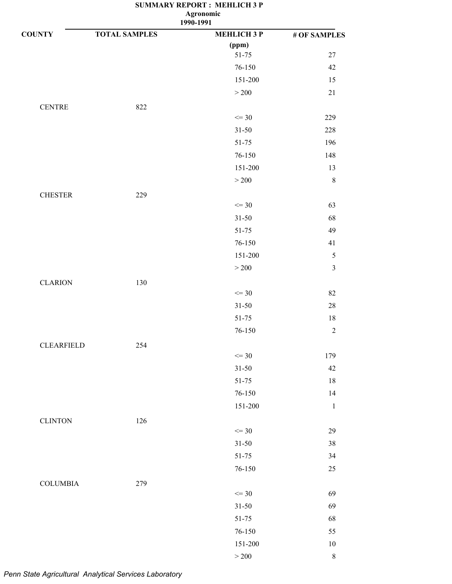| <b>COUNTY</b>     | <b>TOTAL SAMPLES</b> | <b>MEHLICH 3 P</b> | # OF SAMPLES   |
|-------------------|----------------------|--------------------|----------------|
|                   |                      | (ppm)              |                |
|                   |                      | 51-75              | 27             |
|                   |                      | 76-150             | 42             |
|                   |                      | 151-200            | 15             |
|                   |                      | $>200$             | $21\,$         |
| <b>CENTRE</b>     | 822                  |                    |                |
|                   |                      | $\leq$ 30          | 229            |
|                   |                      | $31 - 50$          | 228            |
|                   |                      | 51-75              | 196            |
|                   |                      | 76-150             | 148            |
|                   |                      | 151-200            | 13             |
|                   |                      | $>200$             | $\,$ 8 $\,$    |
| <b>CHESTER</b>    | 229                  |                    |                |
|                   |                      | $\leq$ 30          | 63             |
|                   |                      | $31 - 50$          | 68             |
|                   |                      | 51-75              | 49             |
|                   |                      | 76-150             | 41             |
|                   |                      | 151-200            | $\sqrt{5}$     |
|                   |                      | $>200$             | $\overline{3}$ |
| <b>CLARION</b>    | 130                  |                    |                |
|                   |                      | $\leq$ 30          | 82             |
|                   |                      | $31 - 50$          | $28\,$         |
|                   |                      | $51 - 75$          | 18             |
|                   |                      | 76-150             | $\sqrt{2}$     |
| <b>CLEARFIELD</b> | 254                  |                    |                |
|                   |                      | $\leq$ 30          | 179            |
|                   |                      | $31 - 50$          | 42             |
|                   |                      | $51 - 75$          | 18             |
|                   |                      | 76-150             | 14             |
|                   |                      | 151-200            | $\mathbf{1}$   |
| <b>CLINTON</b>    | 126                  |                    |                |
|                   |                      | $\leq$ 30          | 29             |
|                   |                      | $31 - 50$          | $38\,$         |
|                   |                      | $51 - 75$          | 34             |
|                   |                      | 76-150             | $25\,$         |
| <b>COLUMBIA</b>   | 279                  |                    |                |
|                   |                      | $\leq$ 30          | 69             |
|                   |                      | $31 - 50$          | 69             |
|                   |                      | $51 - 75$          | 68             |
|                   |                      | 76-150             | 55             |
|                   |                      | 151-200            | $10\,$         |
|                   |                      | $>200\,$           | $\,$ $\,$      |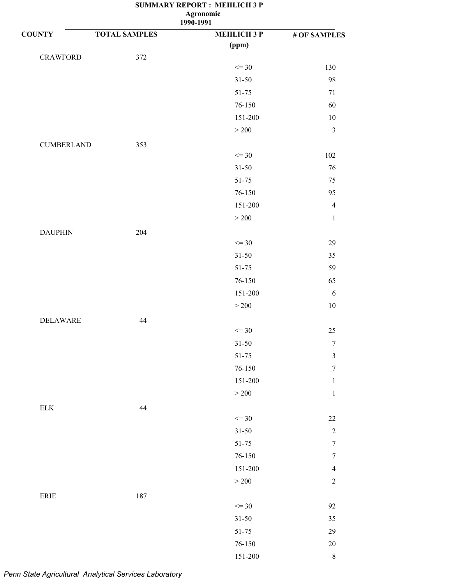| $\cdots$  |
|-----------|
| 1990-1991 |
|           |

| <b>COUNTY</b>                | <b>TOTAL SAMPLES</b> | <b>MEHLICH 3 P</b> | # OF SAMPLES     |
|------------------------------|----------------------|--------------------|------------------|
|                              |                      | (ppm)              |                  |
| <b>CRAWFORD</b>              | 372                  |                    |                  |
|                              |                      | $\leq$ 30          | 130              |
|                              |                      | $31 - 50$          | 98               |
|                              |                      | $51 - 75$          | 71               |
|                              |                      | $76 - 150$         | 60               |
|                              |                      | $151 - 200$        | $10\,$           |
|                              |                      | $>200$             | $\mathfrak{Z}$   |
| <b>CUMBERLAND</b>            | 353                  |                    |                  |
|                              |                      | $\leq$ 30          | 102              |
|                              |                      | $31 - 50$          | $76\,$           |
|                              |                      | $51 - 75$          | $75\,$           |
|                              |                      | 76-150             | 95               |
|                              |                      | 151-200            | $\overline{4}$   |
|                              |                      | $>200$             | $\,1\,$          |
| <b>DAUPHIN</b>               | 204                  |                    |                  |
|                              |                      | $\leq$ 30          | $29\,$           |
|                              |                      | $31 - 50$          | 35               |
|                              |                      | $51 - 75$          | 59               |
|                              |                      | 76-150             | 65               |
|                              |                      | 151-200            | $\sqrt{6}$       |
|                              |                      | $>200$             | $10\,$           |
| <b>DELAWARE</b>              | 44                   |                    |                  |
|                              |                      | $\leq$ 30          | $25\,$           |
|                              |                      | $31 - 50$          | $\boldsymbol{7}$ |
|                              |                      | 51-75              | $\mathfrak{Z}$   |
|                              |                      | $76 - 150$         | $\boldsymbol{7}$ |
|                              |                      | 151-200            | $\,1$            |
|                              |                      | $>200$             | $\,1\,$          |
|                              |                      |                    |                  |
| ${\rm ELK}$                  | $44\,$               | $\leq$ 30          | $22\,$           |
|                              |                      | $31 - 50$          | $\sqrt{2}$       |
|                              |                      | $51 - 75$          | $\boldsymbol{7}$ |
|                              |                      | $76 - 150$         | $\boldsymbol{7}$ |
|                              |                      | 151-200            | $\overline{4}$   |
|                              |                      | $>200$             | $\overline{2}$   |
|                              |                      |                    |                  |
| $\ensuremath{\mathsf{ERIE}}$ | 187                  | $\leq$ 30          | 92               |
|                              |                      | $31 - 50$          | 35               |
|                              |                      | 51-75              | 29               |
|                              |                      | $76 - 150$         | $20\,$           |
|                              |                      |                    | $\,8\,$          |
|                              |                      | 151-200            |                  |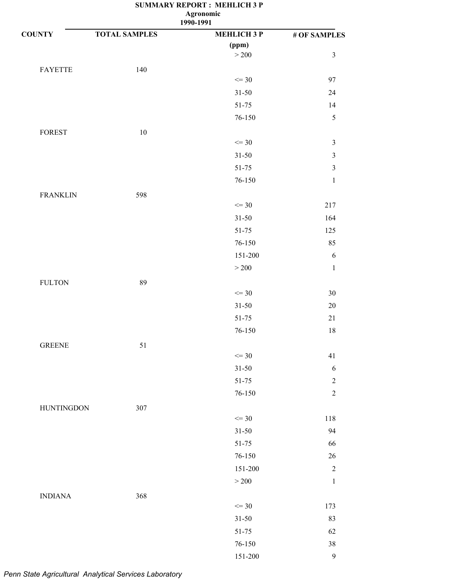| <b>COUNTY</b>     | <b>TOTAL SAMPLES</b> | <b>MEHLICH 3 P</b> | # OF SAMPLES   |
|-------------------|----------------------|--------------------|----------------|
|                   |                      | (ppm)              |                |
|                   |                      | $>200$             | $\mathfrak{Z}$ |
| <b>FAYETTE</b>    | 140                  |                    |                |
|                   |                      | $\leq$ 30          | 97             |
|                   |                      | $31 - 50$          | 24             |
|                   |                      | 51-75              | 14             |
|                   |                      | 76-150             | 5              |
| <b>FOREST</b>     | 10                   |                    |                |
|                   |                      | $\leq$ 30          | $\mathfrak{Z}$ |
|                   |                      | $31 - 50$          | $\sqrt{3}$     |
|                   |                      | $51 - 75$          | $\mathfrak{Z}$ |
|                   |                      | 76-150             | $\,1\,$        |
| <b>FRANKLIN</b>   | 598                  |                    |                |
|                   |                      | $\leq$ 30          | 217            |
|                   |                      | $31 - 50$          | 164            |
|                   |                      | 51-75              | 125            |
|                   |                      | 76-150             | 85             |
|                   |                      | 151-200            | $\sqrt{6}$     |
|                   |                      | $>200$             | $\mathbf{1}$   |
| <b>FULTON</b>     | 89                   |                    |                |
|                   |                      | $\leq$ 30          | $30\,$         |
|                   |                      | $31 - 50$          | $20\,$         |
|                   |                      | $51 - 75$          | $21\,$         |
|                   |                      | 76-150             | $18\,$         |
| <b>GREENE</b>     | 51                   |                    |                |
|                   |                      | $\leq$ 30          | 41             |
|                   |                      | $31 - 50$          | $\sqrt{6}$     |
|                   |                      | $51 - 75$          | $\sqrt{2}$     |
|                   |                      | $76 - 150$         | $\overline{2}$ |
| <b>HUNTINGDON</b> | 307                  |                    |                |
|                   |                      | $\leq$ 30          | 118            |
|                   |                      | $31 - 50$          | 94             |
|                   |                      | $51 - 75$          | 66             |
|                   |                      | 76-150             | $26\,$         |
|                   |                      | 151-200            | $\sqrt{2}$     |
|                   |                      | $>200$             | $\,1\,$        |
| <b>INDIANA</b>    | 368                  |                    |                |
|                   |                      | $\leq$ 30          | 173            |
|                   |                      | $31 - 50$          | 83             |
|                   |                      | $51 - 75$          | 62             |
|                   |                      | 76-150             | $38\,$         |
|                   |                      | $151 - 200$        | $\mathbf{9}$   |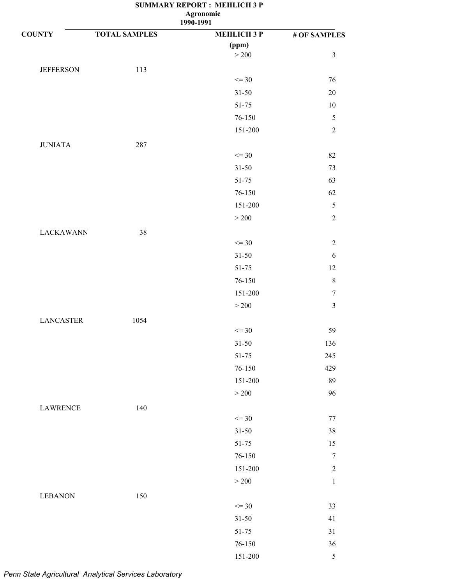| 1990-1991 |  |
|-----------|--|
|           |  |
|           |  |

| <b>COUNTY</b>    | <b>TOTAL SAMPLES</b> | <b>MEHLICH 3 P</b> | # OF SAMPLES     |
|------------------|----------------------|--------------------|------------------|
|                  |                      | (ppm)              |                  |
|                  |                      | $>200$             | $\mathfrak{Z}$   |
| <b>JEFFERSON</b> | 113                  |                    |                  |
|                  |                      | $\leq$ 30          | 76               |
|                  |                      | $31 - 50$          | $20\,$           |
|                  |                      | $51 - 75$          | $10\,$           |
|                  |                      | 76-150             | $\sqrt{5}$       |
|                  |                      | 151-200            | $\sqrt{2}$       |
| <b>JUNIATA</b>   | 287                  |                    |                  |
|                  |                      | $\leq$ 30          | 82               |
|                  |                      | $31 - 50$          | 73               |
|                  |                      | $51 - 75$          | 63               |
|                  |                      | 76-150             | 62               |
|                  |                      | 151-200            | $\sqrt{5}$       |
|                  |                      | >200               | $\boldsymbol{2}$ |
| <b>LACKAWANN</b> | 38                   |                    |                  |
|                  |                      | $\leq$ 30          | $\mathbf{2}$     |
|                  |                      | $31 - 50$          | $\sqrt{6}$       |
|                  |                      | $51 - 75$          | 12               |
|                  |                      | $76 - 150$         | $\,8\,$          |
|                  |                      | 151-200            | $\boldsymbol{7}$ |
|                  |                      | $>200$             | $\mathfrak{Z}$   |
| <b>LANCASTER</b> | 1054                 |                    |                  |
|                  |                      | $\leq$ 30          | 59               |
|                  |                      | $31 - 50$          | 136              |
|                  |                      | 51-75              | 245              |
|                  |                      | $76 - 150$         | 429              |
|                  |                      | 151-200            | 89               |
|                  |                      | $>200$             | 96               |
| <b>LAWRENCE</b>  | 140                  |                    |                  |
|                  |                      | $\leq$ 30          | 77               |
|                  |                      | $31 - 50$          | 38               |
|                  |                      | 51-75              | 15               |
|                  |                      | $76 - 150$         | $\boldsymbol{7}$ |
|                  |                      | 151-200            | $\sqrt{2}$       |
|                  |                      | $>200$             | $\,1$            |
| <b>LEBANON</b>   | 150                  |                    |                  |
|                  |                      | $\leq$ 30          | 33               |
|                  |                      | $31 - 50$          | 41               |
|                  |                      | $51 - 75$          | $31\,$           |
|                  |                      | $76 - 150$         | $36\,$           |
|                  |                      | 151-200            | $\sqrt{5}$       |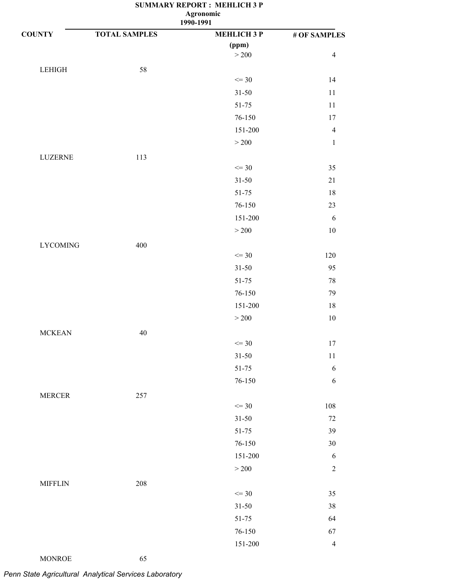| 1990-1991 |  |
|-----------|--|
|           |  |

| <b>COUNTY</b>   | <b>TOTAL SAMPLES</b> | <b>MEHLICH 3 P</b> | # OF SAMPLES   |
|-----------------|----------------------|--------------------|----------------|
|                 |                      | (ppm)              |                |
|                 |                      | $>200$             | $\overline{4}$ |
| LEHIGH          | 58                   |                    |                |
|                 |                      | $\leq$ 30          | 14             |
|                 |                      | $31 - 50$          | 11             |
|                 |                      | 51-75              | 11             |
|                 |                      | 76-150             | 17             |
|                 |                      | 151-200            | $\overline{4}$ |
|                 |                      | $>200$             | $\mathbf{1}$   |
| LUZERNE         | 113                  |                    |                |
|                 |                      | $\leq$ 30          | 35             |
|                 |                      | $31 - 50$          | $21\,$         |
|                 |                      | 51-75              | 18             |
|                 |                      | 76-150             | 23             |
|                 |                      | 151-200            | 6              |
|                 |                      | $>200$             | $10\,$         |
| <b>LYCOMING</b> | 400                  |                    |                |
|                 |                      | $\leq$ 30          | 120            |
|                 |                      | $31 - 50$          | 95             |
|                 |                      | $51 - 75$          | 78             |
|                 |                      | 76-150             | 79             |
|                 |                      | 151-200            | 18             |
|                 |                      | $>200$             | $10\,$         |
| <b>MCKEAN</b>   | $40\,$               |                    |                |
|                 |                      | $\leq$ 30          | 17             |
|                 |                      | $31 - 50$          | 11             |
|                 |                      | 51-75              | 6              |
|                 |                      | 76-150             | $\sqrt{6}$     |
| <b>MERCER</b>   | 257                  |                    |                |
|                 |                      | $\leq$ 30          | 108            |
|                 |                      | $31 - 50$          | 72             |
|                 |                      | $51 - 75$          | 39             |
|                 |                      | $76 - 150$         | 30             |
|                 |                      | 151-200            | 6              |
|                 |                      | $>200$             | $\sqrt{2}$     |
| <b>MIFFLIN</b>  | 208                  |                    |                |
|                 |                      | $\leq$ 30          | 35             |
|                 |                      | $31 - 50$          | 38             |
|                 |                      | 51-75              | 64             |
|                 |                      | 76-150             | 67             |
|                 |                      | 151-200            | $\overline{4}$ |

*Penn State Agricultural Analytical Services Laboratory*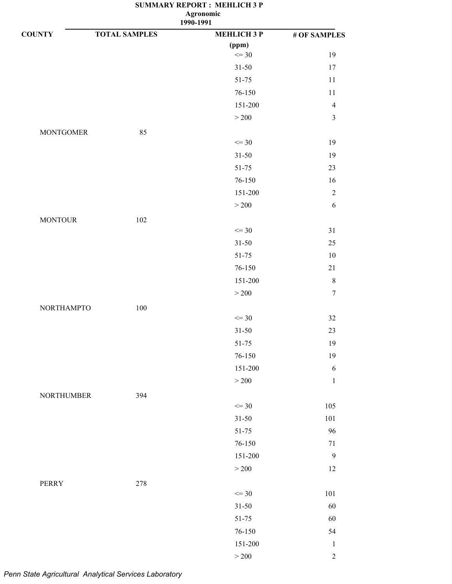| <b>COUNTY</b>     | <b>TOTAL SAMPLES</b> | <b>MEHLICH 3 P</b> | # OF SAMPLES     |
|-------------------|----------------------|--------------------|------------------|
|                   |                      | (ppm)              |                  |
|                   |                      | $\leq$ 30          | 19               |
|                   |                      | $31 - 50$          | 17               |
|                   |                      | $51 - 75$          | 11               |
|                   |                      | 76-150             | $11\,$           |
|                   |                      | 151-200            | $\overline{4}$   |
|                   |                      | $>200$             | $\mathfrak{Z}$   |
| <b>MONTGOMER</b>  | 85                   |                    |                  |
|                   |                      | $\leq$ 30          | 19               |
|                   |                      | $31 - 50$          | 19               |
|                   |                      | $51 - 75$          | 23               |
|                   |                      | 76-150             | 16               |
|                   |                      | 151-200            | $\sqrt{2}$       |
|                   |                      | >200               | $\sqrt{6}$       |
| <b>MONTOUR</b>    | 102                  |                    |                  |
|                   |                      | $\leq$ 30          | 31               |
|                   |                      | $31 - 50$          | $25\,$           |
|                   |                      | $51 - 75$          | $10\,$           |
|                   |                      | 76-150             | $21\,$           |
|                   |                      | 151-200            | $\,8\,$          |
|                   |                      | $>200$             | $\boldsymbol{7}$ |
| <b>NORTHAMPTO</b> | 100                  |                    |                  |
|                   |                      | $\leq$ 30          | 32               |
|                   |                      | $31 - 50$          | 23               |
|                   |                      | $51 - 75$          | 19               |
|                   |                      | 76-150             | 19               |
|                   |                      | 151-200            | $\sqrt{6}$       |
|                   |                      | $>200$             | $\,1\,$          |
| <b>NORTHUMBER</b> | 394                  |                    |                  |
|                   |                      | $\leq$ 30          | 105              |
|                   |                      | $31 - 50$          | 101              |
|                   |                      | 51-75              | 96               |
|                   |                      | 76-150             | $71\,$           |
|                   |                      | 151-200            | $\boldsymbol{9}$ |
|                   |                      | $>200$             | $12\,$           |
| <b>PERRY</b>      | 278                  |                    |                  |
|                   |                      | $\leq$ 30          | 101              |
|                   |                      | $31 - 50$          | 60               |
|                   |                      | $51 - 75$          | 60               |
|                   |                      | 76-150             | 54               |
|                   |                      | $151 - 200$        | $\mathbf{1}$     |
|                   |                      | $\geq 200$         | $\sqrt{2}$       |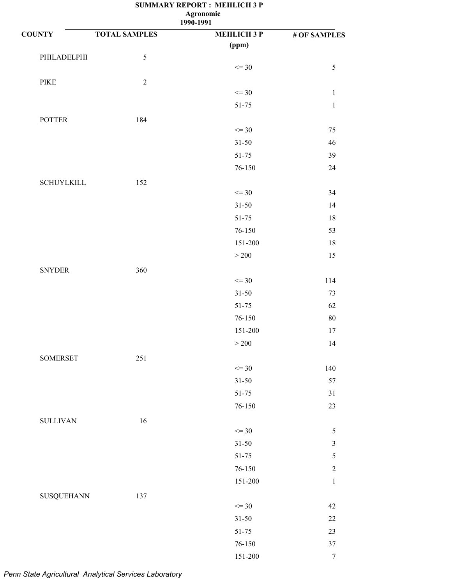| <b>SUMMARY REPORT: MEHLICH 3 P</b> |  |  |  |  |  |  |
|------------------------------------|--|--|--|--|--|--|
| <b>Agronomic</b>                   |  |  |  |  |  |  |
| 1990-1991                          |  |  |  |  |  |  |

| <b>COUNTY</b>     | <b>TOTAL SAMPLES</b> | --- - -- - -<br><b>MEHLICH 3 P</b> | # OF SAMPLES     |
|-------------------|----------------------|------------------------------------|------------------|
|                   |                      | (ppm)                              |                  |
| PHILADELPHI       | $\sqrt{5}$           |                                    |                  |
|                   |                      | $\leq$ 30                          | $\sqrt{5}$       |
| PIKE              | $\sqrt{2}$           |                                    |                  |
|                   |                      | $\leq$ 30                          | $\mathbf 1$      |
|                   |                      | $51 - 75$                          | $\,1\,$          |
| <b>POTTER</b>     | 184                  |                                    |                  |
|                   |                      | $\leq$ 30                          | $75\,$           |
|                   |                      | $31 - 50$                          | 46               |
|                   |                      | $51 - 75$                          | 39               |
|                   |                      | 76-150                             | $24\,$           |
| <b>SCHUYLKILL</b> | 152                  |                                    |                  |
|                   |                      | $\leq$ 30                          | 34               |
|                   |                      | $31 - 50$                          | 14               |
|                   |                      | $51 - 75$                          | 18               |
|                   |                      | 76-150                             | 53               |
|                   |                      | 151-200                            | 18               |
|                   |                      | $>200$                             | 15               |
| <b>SNYDER</b>     | 360                  |                                    |                  |
|                   |                      | $\leq$ 30                          | 114              |
|                   |                      | $31 - 50$                          | 73               |
|                   |                      | $51 - 75$                          | 62               |
|                   |                      | 76-150                             | 80               |
|                   |                      | 151-200                            | 17               |
|                   |                      | $>200$                             | 14               |
| <b>SOMERSET</b>   | 251                  |                                    |                  |
|                   |                      | $\leq$ 30                          | 140              |
|                   |                      | $31 - 50$                          | 57               |
|                   |                      | $51 - 75$                          | 31               |
|                   |                      | $76 - 150$                         | 23               |
| <b>SULLIVAN</b>   | 16                   |                                    |                  |
|                   |                      | $\leq$ 30                          | $\sqrt{5}$       |
|                   |                      | $31 - 50$                          | $\mathfrak{Z}$   |
|                   |                      | $51 - 75$                          | $\sqrt{5}$       |
|                   |                      | $76 - 150$                         | $\sqrt{2}$       |
|                   |                      | $151 - 200$                        | $\,1\,$          |
|                   | 137                  |                                    |                  |
| SUSQUEHANN        |                      | $\leq$ 30                          | 42               |
|                   |                      | $31 - 50$                          | $22\,$           |
|                   |                      | $51 - 75$                          | $23\,$           |
|                   |                      | $76 - 150$                         | $37\,$           |
|                   |                      | $151 - 200$                        | $\boldsymbol{7}$ |
|                   |                      |                                    |                  |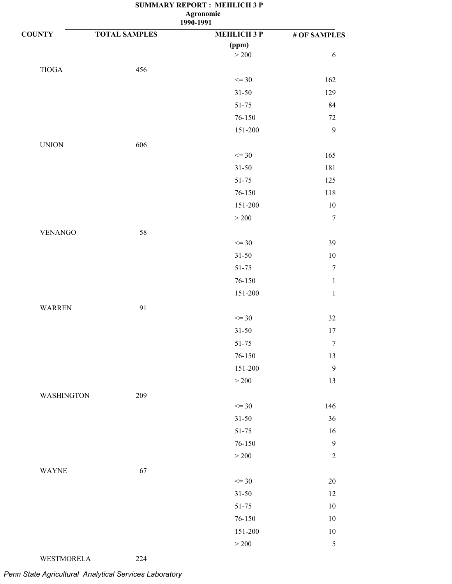**1990-1991**

| <b>COUNTY</b>     | <b>TOTAL SAMPLES</b> | <b>MEHLICH 3 P</b> | # OF SAMPLES     |
|-------------------|----------------------|--------------------|------------------|
|                   |                      | (ppm)              |                  |
|                   |                      | $>200$             | 6                |
| $\tt TIOGA$       | 456                  |                    |                  |
|                   |                      | $\leq$ 30          | 162              |
|                   |                      | $31 - 50$          | 129              |
|                   |                      | $51 - 75$          | 84               |
|                   |                      | $76 - 150$         | $72\,$           |
|                   |                      | 151-200            | 9                |
| <b>UNION</b>      | 606                  |                    |                  |
|                   |                      | $\leq$ 30          | 165              |
|                   |                      | $31 - 50$          | 181              |
|                   |                      | $51 - 75$          | 125              |
|                   |                      | $76 - 150$         | 118              |
|                   |                      | 151-200            | $10\,$           |
|                   |                      | $>200$             | $\tau$           |
| <b>VENANGO</b>    | 58                   |                    |                  |
|                   |                      | $\leq$ 30          | 39               |
|                   |                      | $31 - 50$          | $10\,$           |
|                   |                      | $51 - 75$          | $\boldsymbol{7}$ |
|                   |                      | $76 - 150$         | $\mathbf{1}$     |
|                   |                      | $151 - 200$        | $\,1\,$          |
| <b>WARREN</b>     | 91                   |                    |                  |
|                   |                      | $\leq$ 30          | $32\,$           |
|                   |                      | $31 - 50$          | 17               |
|                   |                      | $51 - 75$          | $\boldsymbol{7}$ |
|                   |                      | 76-150             | 13               |
|                   |                      | 151-200            | 9                |
|                   |                      | $>200$             | 13               |
| <b>WASHINGTON</b> | 209                  |                    |                  |
|                   |                      | $\leq$ 30          | 146              |
|                   |                      | $31 - 50$          | 36               |
|                   |                      | 51-75              | 16               |
|                   |                      | 76-150             | $\boldsymbol{9}$ |
|                   |                      | $>200$             | $\overline{2}$   |
| <b>WAYNE</b>      | 67                   |                    |                  |
|                   |                      | $\leq$ 30          | $20\,$           |
|                   |                      | $31 - 50$          | 12               |
|                   |                      | $51 - 75$          | 10               |
|                   |                      | 76-150             | $10\,$           |
|                   |                      | 151-200            | $10\,$           |
|                   |                      | $>200$             | $\sqrt{5}$       |

WESTMORELA 224

*Penn State Agricultural Analytical Services Laboratory*